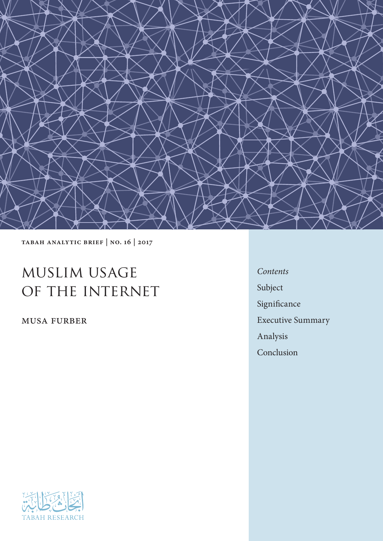

Tabah Analytic Brief | no. 16 | 2017

# muslim usage of the internet

musa furber

*Contents* Subject Significance Executive Summary Analysis Conclusion

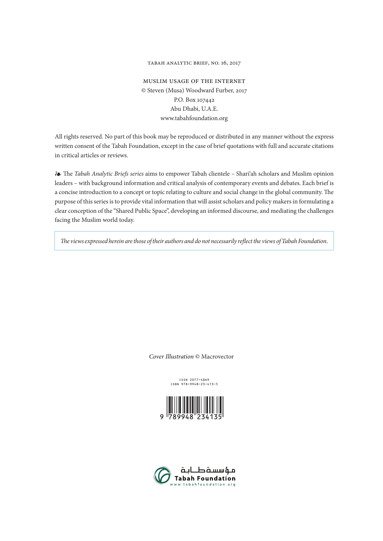#### Tabah Analytic Brief, no. 16, 2017

muslim usage of the internet © Steven (Musa) Woodward Furber, 2017 P.O. Box 107442 Abu Dhabi, U.A.E. www.tabahfoundation.org

All rights reserved. No part of this book may be reproduced or distributed in any manner without the express written consent of the Tabah Foundation, except in the case of brief quotations with full and accurate citations in critical articles or reviews.

❧ The *Tabah Analytic Briefs series* aims to empower Tabah clientele – Shari'ah scholars and Muslim opinion leaders – with background information and critical analysis of contemporary events and debates. Each brief is a concise introduction to a concept or topic relating to culture and social change in the global community. The purpose of this series is to provide vital information that will assist scholars and policy makers in formulating a clear conception of the "Shared Public Space", developing an informed discourse, and mediating the challenges facing the Muslim world today.

*The views expressed herein are those of their authors and do not necessarily reflect the views of Tabah Foundation*.

*Cover Illustration* © Macrovector

ISSN 2077-4869 ISBN 978-9948-23-413-5



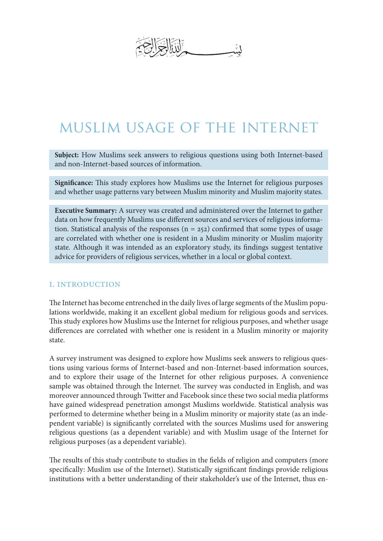# muslim usage of the internet

**Subject:** How Muslims seek answers to religious questions using both Internet-based and non-Internet-based sources of information.

**Significance:** This study explores how Muslims use the Internet for religious purposes and whether usage patterns vary between Muslim minority and Muslim majority states.

**Executive Summary:** A survey was created and administered over the Internet to gather data on how frequently Muslims use different sources and services of religious information. Statistical analysis of the responses  $(n = 252)$  confirmed that some types of usage are correlated with whether one is resident in a Muslim minority or Muslim majority state. Although it was intended as an exploratory study, its findings suggest tentative advice for providers of religious services, whether in a local or global context.

#### I. Introduction

The Internet has become entrenched in the daily lives of large segments of the Muslim populations worldwide, making it an excellent global medium for religious goods and services. This study explores how Muslims use the Internet for religious purposes, and whether usage differences are correlated with whether one is resident in a Muslim minority or majority state.

A survey instrument was designed to explore how Muslims seek answers to religious questions using various forms of Internet-based and non-Internet-based information sources, and to explore their usage of the Internet for other religious purposes. A convenience sample was obtained through the Internet. The survey was conducted in English, and was moreover announced through Twitter and Facebook since these two social media platforms have gained widespread penetration amongst Muslims worldwide. Statistical analysis was performed to determine whether being in a Muslim minority or majority state (as an independent variable) is significantly correlated with the sources Muslims used for answering religious questions (as a dependent variable) and with Muslim usage of the Internet for religious purposes (as a dependent variable).

The results of this study contribute to studies in the fields of religion and computers (more specifically: Muslim use of the Internet). Statistically significant findings provide religious institutions with a better understanding of their stakeholder's use of the Internet, thus en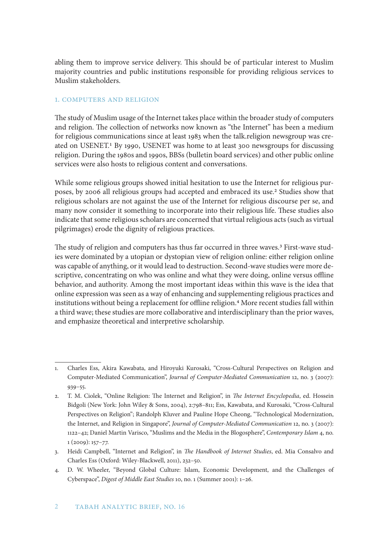abling them to improve service delivery. This should be of particular interest to Muslim majority countries and public institutions responsible for providing religious services to Muslim stakeholders.

#### 1. Computers and Religion

The study of Muslim usage of the Internet takes place within the broader study of computers and religion. The collection of networks now known as "the Internet" has been a medium for religious communications since at least 1983 when the talk.religion newsgroup was created on USENET.1 By 1990, USENET was home to at least 300 newsgroups for discussing religion. During the 1980s and 1990s, BBSs (bulletin board services) and other public online services were also hosts to religious content and conversations.

While some religious groups showed initial hesitation to use the Internet for religious purposes, by 2006 all religious groups had accepted and embraced its use.2 Studies show that religious scholars are not against the use of the Internet for religious discourse per se, and many now consider it something to incorporate into their religious life. These studies also indicate that some religious scholars are concerned that virtual religious acts (such as virtual pilgrimages) erode the dignity of religious practices.

The study of religion and computers has thus far occurred in three waves.3 First-wave studies were dominated by a utopian or dystopian view of religion online: either religion online was capable of anything, or it would lead to destruction. Second-wave studies were more descriptive, concentrating on who was online and what they were doing, online versus offline behavior, and authority. Among the most important ideas within this wave is the idea that online expression was seen as a way of enhancing and supplementing religious practices and institutions without being a replacement for offline religion.<sup>4</sup> More recent studies fall within a third wave; these studies are more collaborative and interdisciplinary than the prior waves, and emphasize theoretical and interpretive scholarship.

<sup>1.</sup> Charles Ess, Akira Kawabata, and Hiroyuki Kurosaki, "Cross-Cultural Perspectives on Religion and Computer-Mediated Communication", *Journal of Computer-Mediated Communication* 12, no. 3 (2007): 939–55.

<sup>2.</sup> T. M. Ciolek, "Online Religion: The Internet and Religion", in *The Internet Encyclopedia*, ed. Hossein Bidgoli (New York: John Wiley & Sons, 2004), 2:798–811; Ess, Kawabata, and Kurosaki, "Cross-Cultural Perspectives on Religion"; Randolph Kluver and Pauline Hope Cheong, "Technological Modernization, the Internet, and Religion in Singapore", *Journal of Computer-Mediated Communication* 12, no. 3 (2007): 1122–42; Daniel Martin Varisco, "Muslims and the Media in the Blogosphere", *Contemporary Islam* 4, no. 1 (2009): 157–77.

<sup>3.</sup> Heidi Campbell, "Internet and Religion", in *The Handbook of Internet Studies*, ed. Mia Consalvo and Charles Ess (Oxford: Wiley-Blackwell, 2011), 232–50.

<sup>4.</sup> D. W. Wheeler, "Beyond Global Culture: Islam, Economic Development, and the Challenges of Cyberspace", *Digest of Middle East Studies* 10, no. 1 (Summer 2001): 1–26.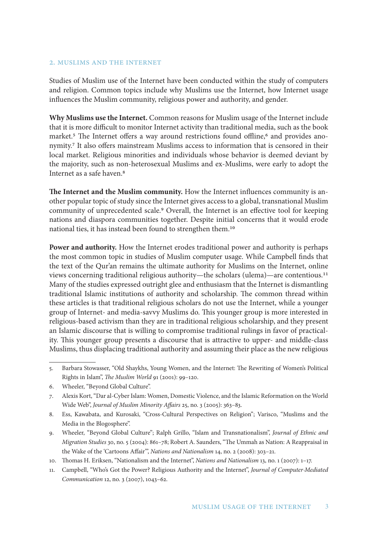#### 2. Muslims and the Internet

Studies of Muslim use of the Internet have been conducted within the study of computers and religion. Common topics include why Muslims use the Internet, how Internet usage influences the Muslim community, religious power and authority, and gender.

**Why Muslims use the Internet.** Common reasons for Muslim usage of the Internet include that it is more difficult to monitor Internet activity than traditional media, such as the book market.<sup>5</sup> The Internet offers a way around restrictions found offline,<sup>6</sup> and provides anonymity.7 It also offers mainstream Muslims access to information that is censored in their local market. Religious minorities and individuals whose behavior is deemed deviant by the majority, such as non-heterosexual Muslims and ex-Muslims, were early to adopt the Internet as a safe haven.8

**The Internet and the Muslim community.** How the Internet influences community is another popular topic of study since the Internet gives access to a global, transnational Muslim community of unprecedented scale.9 Overall, the Internet is an effective tool for keeping nations and diaspora communities together. Despite initial concerns that it would erode national ties, it has instead been found to strengthen them.10

**Power and authority.** How the Internet erodes traditional power and authority is perhaps the most common topic in studies of Muslim computer usage. While Campbell finds that the text of the Qur'an remains the ultimate authority for Muslims on the Internet, online views concerning traditional religious authority—the scholars (ulema)—are contentious.11 Many of the studies expressed outright glee and enthusiasm that the Internet is dismantling traditional Islamic institutions of authority and scholarship. The common thread within these articles is that traditional religious scholars do not use the Internet, while a younger group of Internet- and media-savvy Muslims do. This younger group is more interested in religious-based activism than they are in traditional religious scholarship, and they present an Islamic discourse that is willing to compromise traditional rulings in favor of practicality. This younger group presents a discourse that is attractive to upper- and middle-class Muslims, thus displacing traditional authority and assuming their place as the new religious

- 8. Ess, Kawabata, and Kurosaki, "Cross-Cultural Perspectives on Religion"; Varisco, "Muslims and the Media in the Blogosphere".
- 9. Wheeler, "Beyond Global Culture"; Ralph Grillo, "Islam and Transnationalism", *Journal of Ethnic and Migration Studies* 30, no. 5 (2004): 861–78; Robert A. Saunders, "The Ummah as Nation: A Reappraisal in the Wake of the 'Cartoons Affair'", *Nations and Nationalism* 14, no. 2 (2008): 303–21.
- 10. Thomas H. Eriksen, "Nationalism and the Internet", *Nations and Nationalism* 13, no. 1 (2007): 1–17.
- 11. Campbell, "Who's Got the Power? Religious Authority and the Internet", *Journal of Computer-Mediated Communication* 12, no. 3 (2007), 1043–62.

<sup>5.</sup> Barbara Stowasser, "Old Shaykhs, Young Women, and the Internet: The Rewriting of Women's Political Rights in Islam", *The Muslim World* 91 (2001): 99–120.

<sup>6.</sup> Wheeler, "Beyond Global Culture".

<sup>7.</sup> Alexis Kort, "Dar al-Cyber Islam: Women, Domestic Violence, and the Islamic Reformation on the World Wide Web", *Journal of Muslim Minority Affairs* 25, no. 3 (2005): 363–83.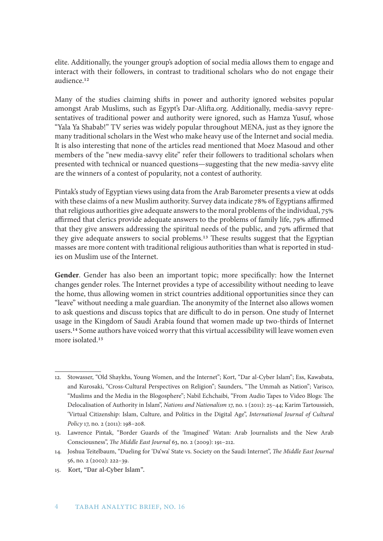elite. Additionally, the younger group's adoption of social media allows them to engage and interact with their followers, in contrast to traditional scholars who do not engage their audience.12

Many of the studies claiming shifts in power and authority ignored websites popular amongst Arab Muslims, such as Egypt's Dar-Alifta.org. Additionally, media-savvy representatives of traditional power and authority were ignored, such as Hamza Yusuf, whose "Yala Ya Shabab!" TV series was widely popular throughout MENA, just as they ignore the many traditional scholars in the West who make heavy use of the Internet and social media. It is also interesting that none of the articles read mentioned that Moez Masoud and other members of the "new media-savvy elite" refer their followers to traditional scholars when presented with technical or nuanced questions—suggesting that the new media-savvy elite are the winners of a contest of popularity, not a contest of authority.

Pintak's study of Egyptian views using data from the Arab Barometer presents a view at odds with these claims of a new Muslim authority. Survey data indicate 78% of Egyptians affirmed that religious authorities give adequate answers to the moral problems of the individual, 75% affirmed that clerics provide adequate answers to the problems of family life, 79% affirmed that they give answers addressing the spiritual needs of the public, and 79% affirmed that they give adequate answers to social problems.13 These results suggest that the Egyptian masses are more content with traditional religious authorities than what is reported in studies on Muslim use of the Internet.

**Gender**. Gender has also been an important topic; more specifically: how the Internet changes gender roles. The Internet provides a type of accessibility without needing to leave the home, thus allowing women in strict countries additional opportunities since they can "leave" without needing a male guardian. The anonymity of the Internet also allows women to ask questions and discuss topics that are difficult to do in person. One study of Internet usage in the Kingdom of Saudi Arabia found that women made up two-thirds of Internet users.14 Some authors have voiced worry that this virtual accessibility will leave women even more isolated.15

<sup>12.</sup> Stowasser, "Old Shaykhs, Young Women, and the Internet"; Kort, "Dar al-Cyber Islam"; Ess, Kawabata, and Kurosaki, "Cross-Cultural Perspectives on Religion"; Saunders, "The Ummah as Nation"; Varisco, "Muslims and the Media in the Blogosphere"; Nabil Echchaibi, "From Audio Tapes to Video Blogs: The Delocalisation of Authority in Islam", *Nations and Nationalism* 17, no. 1 (2011): 25–44; Karim Tartoussieh, 'Virtual Citizenship: Islam, Culture, and Politics in the Digital Age", *International Journal of Cultural Policy* 17, no. 2 (2011): 198–208.

<sup>13.</sup> Lawrence Pintak, "Border Guards of the 'Imagined' Watan: Arab Journalists and the New Arab Consciousness", *The Middle East Journal* 63, no. 2 (2009): 191–212.

<sup>14.</sup> Joshua Teitelbaum, "Dueling for 'Da'wa' State vs. Society on the Saudi Internet", *The Middle East Journal*  56, no. 2 (2002): 222–39.

<sup>15.</sup> Kort, "Dar al-Cyber Islam"*.*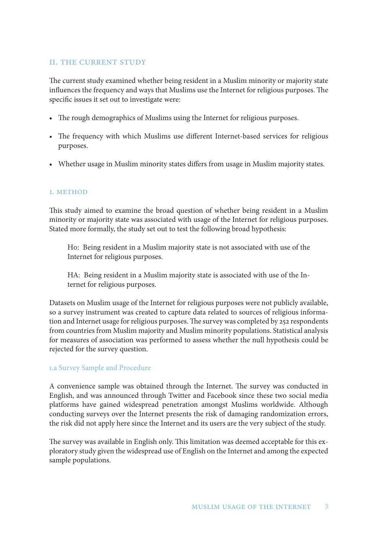#### II. The Current Study

The current study examined whether being resident in a Muslim minority or majority state influences the frequency and ways that Muslims use the Internet for religious purposes. The specific issues it set out to investigate were:

- The rough demographics of Muslims using the Internet for religious purposes.
- The frequency with which Muslims use different Internet-based services for religious purposes.
- Whether usage in Muslim minority states differs from usage in Muslim majority states.

#### 1. METHOD

This study aimed to examine the broad question of whether being resident in a Muslim minority or majority state was associated with usage of the Internet for religious purposes. Stated more formally, the study set out to test the following broad hypothesis:

H0: Being resident in a Muslim majority state is not associated with use of the Internet for religious purposes.

HA: Being resident in a Muslim majority state is associated with use of the Internet for religious purposes.

Datasets on Muslim usage of the Internet for religious purposes were not publicly available, so a survey instrument was created to capture data related to sources of religious information and Internet usage for religious purposes. The survey was completed by 252 respondents from countries from Muslim majority and Muslim minority populations. Statistical analysis for measures of association was performed to assess whether the null hypothesis could be rejected for the survey question.

## 1.a Survey Sample and Procedure

A convenience sample was obtained through the Internet. The survey was conducted in English, and was announced through Twitter and Facebook since these two social media platforms have gained widespread penetration amongst Muslims worldwide. Although conducting surveys over the Internet presents the risk of damaging randomization errors, the risk did not apply here since the Internet and its users are the very subject of the study.

The survey was available in English only. This limitation was deemed acceptable for this exploratory study given the widespread use of English on the Internet and among the expected sample populations.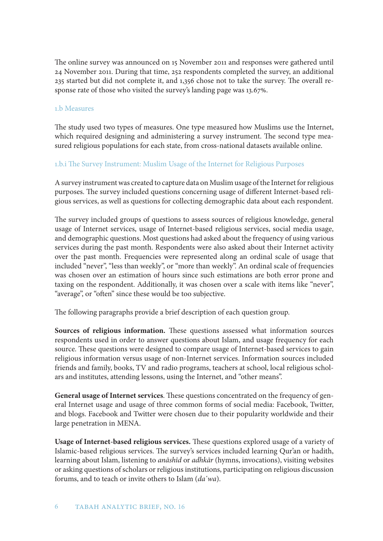The online survey was announced on 15 November 2011 and responses were gathered until 24 November 2011. During that time, 252 respondents completed the survey, an additional 235 started but did not complete it, and 1,356 chose not to take the survey. The overall response rate of those who visited the survey's landing page was 13.67%.

#### 1.b Measures

The study used two types of measures. One type measured how Muslims use the Internet, which required designing and administering a survey instrument. The second type measured religious populations for each state, from cross-national datasets available online.

## 1.b.i The Survey Instrument: Muslim Usage of the Internet for Religious Purposes

A survey instrument was created to capture data on Muslim usage of the Internet for religious purposes. The survey included questions concerning usage of different Internet-based religious services, as well as questions for collecting demographic data about each respondent.

The survey included groups of questions to assess sources of religious knowledge, general usage of Internet services, usage of Internet-based religious services, social media usage, and demographic questions. Most questions had asked about the frequency of using various services during the past month. Respondents were also asked about their Internet activity over the past month. Frequencies were represented along an ordinal scale of usage that included "never", "less than weekly", or "more than weekly". An ordinal scale of frequencies was chosen over an estimation of hours since such estimations are both error prone and taxing on the respondent. Additionally, it was chosen over a scale with items like "never", "average", or "often" since these would be too subjective.

The following paragraphs provide a brief description of each question group.

**Sources of religious information.** These questions assessed what information sources respondents used in order to answer questions about Islam, and usage frequency for each source. These questions were designed to compare usage of Internet-based services to gain religious information versus usage of non-Internet services. Information sources included friends and family, books, TV and radio programs, teachers at school, local religious scholars and institutes, attending lessons, using the Internet, and "other means".

**General usage of Internet services**. These questions concentrated on the frequency of general Internet usage and usage of three common forms of social media: Facebook, Twitter, and blogs. Facebook and Twitter were chosen due to their popularity worldwide and their large penetration in MENA.

**Usage of Internet-based religious services.** These questions explored usage of a variety of Islamic-based religious services. The survey's services included learning Qur'an or hadith, learning about Islam, listening to *anāshīd* or *adhkār* (hymns, invocations), visiting websites or asking questions of scholars or religious institutions, participating on religious discussion forums, and to teach or invite others to Islam (*da*ʿ*wa*).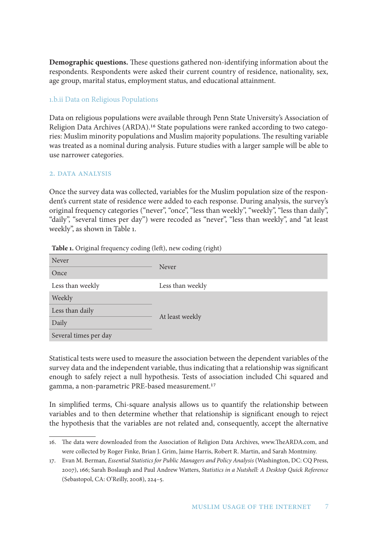**Demographic questions.** These questions gathered non-identifying information about the respondents. Respondents were asked their current country of residence, nationality, sex, age group, marital status, employment status, and educational attainment.

#### 1.b.ii Data on Religious Populations

Data on religious populations were available through Penn State University's Association of Religion Data Archives (ARDA).16 State populations were ranked according to two categories: Muslim minority populations and Muslim majority populations. The resulting variable was treated as a nominal during analysis. Future studies with a larger sample will be able to use narrower categories.

## 2. DATA ANALYSIS

Once the survey data was collected, variables for the Muslim population size of the respondent's current state of residence were added to each response. During analysis, the survey's original frequency categories ("never", "once", "less than weekly", "weekly", "less than daily", "daily", "several times per day") were recoded as "never", "less than weekly", and "at least weekly", as shown in Table 1.

| Never                 |                  |  |  |  |  |
|-----------------------|------------------|--|--|--|--|
| Once                  | Never            |  |  |  |  |
| Less than weekly      | Less than weekly |  |  |  |  |
| Weekly                |                  |  |  |  |  |
| Less than daily       |                  |  |  |  |  |
| Daily                 | At least weekly  |  |  |  |  |
| Several times per day |                  |  |  |  |  |

**Table 1.** Original frequency coding (left), new coding (right)

Statistical tests were used to measure the association between the dependent variables of the survey data and the independent variable, thus indicating that a relationship was significant enough to safely reject a null hypothesis. Tests of association included Chi squared and gamma, a non-parametric PRE-based measurement.17

In simplified terms, Chi-square analysis allows us to quantify the relationship between variables and to then determine whether that relationship is significant enough to reject the hypothesis that the variables are not related and, consequently, accept the alternative

<sup>16.</sup> The data were downloaded from the Association of Religion Data Archives, www.TheARDA.com, and were collected by Roger Finke, Brian J. Grim, Jaime Harris, Robert R. Martin, and Sarah Montminy.

<sup>17.</sup> Evan M. Berman, *Essential Statistics for Public Managers and Policy Analysis* (Washington, DC: CQ Press, 2007), 166; Sarah Boslaugh and Paul Andrew Watters, *Statistics in a Nutshell: A Desktop Quick Reference*  (Sebastopol, CA: O'Reilly, 2008), 224–5.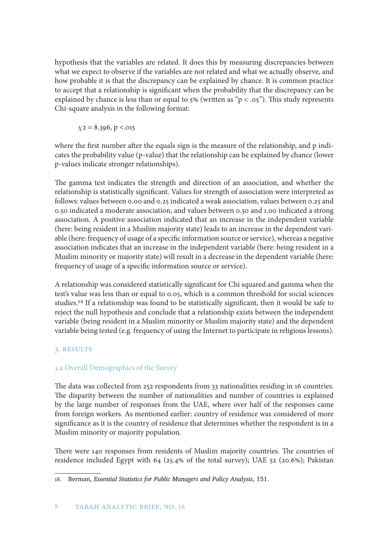hypothesis that the variables are related. It does this by measuring discrepancies between what we expect to observe if the variables are not related and what we actually observe, and how probable it is that the discrepancy can be explained by chance. It is common practice to accept that a relationship is significant when the probability that the discrepancy can be explained by chance is less than or equal to  $5\%$  (written as " $p < .05$ "). This study represents Chi-square analysis in the following format:

 $\chi$ 2 = 8.396, p <.015

where the first number after the equals sign is the measure of the relationship, and p indicates the probability value (p-value) that the relationship can be explained by chance (lower p-values indicate stronger relationships).

The gamma test indicates the strength and direction of an association, and whether the relationship is statistically significant. Values for strength of association were interpreted as follows: values between 0.00 and 0.25 indicated a weak association, values between 0.25 and 0.50 indicated a moderate association, and values between 0.50 and 1.00 indicated a strong association. A positive association indicated that an increase in the independent variable (here: being resident in a Muslim majority state) leads to an increase in the dependent variable (here: frequency of usage of a specific information source or service), whereas a negative association indicates that an increase in the independent variable (here: being resident in a Muslim minority or majority state) will result in a decrease in the dependent variable (here: frequency of usage of a specific information source or service).

A relationship was considered statistically significant for Chi squared and gamma when the test's value was less than or equal to 0.05, which is a common threshold for social sciences studies.18 If a relationship was found to be statistically significant, then it would be safe to reject the null hypothesis and conclude that a relationship exists between the independent variable (being resident in a Muslim minority or Muslim majority state) and the dependent variable being tested (e.g. frequency of using the Internet to participate in religious lessons).

## 3. Results

## 3.a Overall Demographics of the Survey

The data was collected from 252 respondents from 33 nationalities residing in 16 countries. The disparity between the number of nationalities and number of countries is explained by the large number of responses from the UAE, where over half of the responses came from foreign workers. As mentioned earlier: country of residence was considered of more significance as it is the country of residence that determines whether the respondent is in a Muslim minority or majority population.

There were 140 responses from residents of Muslim majority countries. The countries of residence included Egypt with 64 (25.4% of the total survey); UAE 52 (20.6%); Pakistan

<sup>18.</sup> Berman, *Essential Statistics for Public Managers and Policy Analysis*, 151.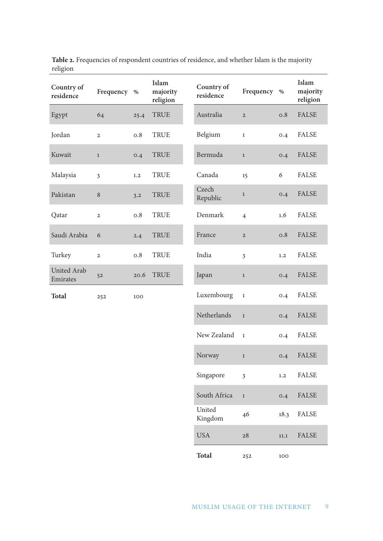| Country of<br>residence        | Frequency      | $\%$ | Islam<br>majority<br>religion | Country of<br>residence | Frequency      | $\%$    | Islam<br>majority<br>religion |
|--------------------------------|----------------|------|-------------------------------|-------------------------|----------------|---------|-------------------------------|
| Egypt                          | 64             | 25.4 | TRUE                          | Australia               | $\overline{2}$ | 0.8     | <b>FALSE</b>                  |
| Jordan                         | $\overline{2}$ | 0.8  | <b>TRUE</b>                   | Belgium                 | $\mathbf{1}$   | 0.4     | <b>FALSE</b>                  |
| Kuwait                         | $\mathbf{1}$   | 0.4  | TRUE                          | Bermuda                 | $\mathbf{1}$   | 0.4     | <b>FALSE</b>                  |
| Malaysia                       | $\overline{3}$ | 1,2  | <b>TRUE</b>                   | Canada                  | 15             | 6       | <b>FALSE</b>                  |
| Pakistan                       | $\,8\,$        | 3.2  | TRUE                          | Czech<br>Republic       | $\mathbf{1}$   | 0.4     | <b>FALSE</b>                  |
| Qatar                          | $\overline{2}$ | 0.8  | <b>TRUE</b>                   | Denmark                 | $\overline{4}$ | 1.6     | <b>FALSE</b>                  |
| Saudi Arabia                   | 6              | 2.4  | <b>TRUE</b>                   | France                  | $\mathbf{2}$   | 0.8     | <b>FALSE</b>                  |
| Turkey                         | $\mathbf{2}$   | 0.8  | <b>TRUE</b>                   | India                   | $\overline{3}$ | 1.2     | <b>FALSE</b>                  |
| <b>United Arab</b><br>Emirates | 52             | 20.6 | <b>TRUE</b>                   | Japan                   | $\mathbf{1}$   | 0.4     | <b>FALSE</b>                  |
| <b>Total</b>                   | 252            | 100  |                               | Luxembourg              | $\mathbf 1$    | 0.4     | <b>FALSE</b>                  |
|                                |                |      |                               | Netherlands             | $\mathbf{1}$   | 0.4     | <b>FALSE</b>                  |
|                                |                |      |                               | New Zealand             | $\mathbf 1$    | 0.4     | <b>FALSE</b>                  |
|                                |                |      |                               | Norway                  | $\mathbf{1}$   | 0.4     | <b>FALSE</b>                  |
|                                |                |      |                               | Singapore               | $\overline{3}$ | $1.2\,$ | <b>FALSE</b>                  |
|                                |                |      |                               | South Africa            | $\,1\,$        | 0.4     | <b>FALSE</b>                  |
|                                |                |      |                               | United                  |                |         | <b>EALCE</b>                  |

**Table 2.** Frequencies of respondent countries of residence, and whether Islam is the majority religion

United<br>Kingdom 46 18.3 FALSE

USA 28 11.1 FALSE

**Total** 252 100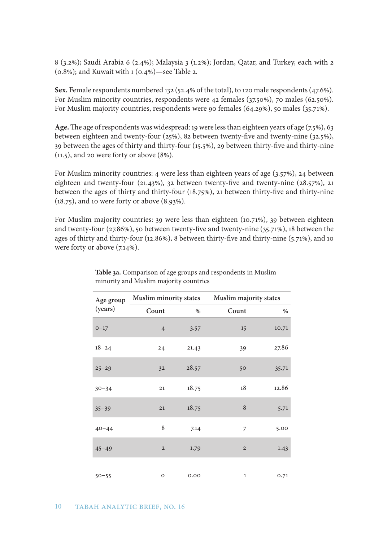8 (3.2%); Saudi Arabia 6 (2.4%); Malaysia 3 (1.2%); Jordan, Qatar, and Turkey, each with 2  $(0.8\%)$ ; and Kuwait with 1  $(0.4\%)$  -see Table 2.

**Sex.** Female respondents numbered 132 (52.4% of the total), to 120 male respondents (47.6%). For Muslim minority countries, respondents were 42 females (37.50%), 70 males (62.50%). For Muslim majority countries, respondents were 90 females (64.29%), 50 males (35.71%).

Age. The age of respondents was widespread: 19 were less than eighteen years of age (7.5%), 63 between eighteen and twenty-four (25%), 82 between twenty-five and twenty-nine (32.5%), 39 between the ages of thirty and thirty-four (15.5%), 29 between thirty-five and thirty-nine  $(11.5)$ , and 20 were forty or above  $(8\%)$ .

For Muslim minority countries: 4 were less than eighteen years of age (3.57%), 24 between eighteen and twenty-four (21.43%), 32 between twenty-five and twenty-nine (28.57%), 21 between the ages of thirty and thirty-four (18.75%), 21 between thirty-five and thirty-nine (18.75), and 10 were forty or above (8.93%).

For Muslim majority countries: 39 were less than eighteen (10.71%), 39 between eighteen and twenty-four (27.86%), 50 between twenty-five and twenty-nine (35.71%), 18 between the ages of thirty and thirty-four (12.86%), 8 between thirty-five and thirty-nine (5.71%), and 10 were forty or above  $(7.14\%)$ .

| Age group |                | Muslim minority states | Muslim majority states |       |
|-----------|----------------|------------------------|------------------------|-------|
| (years)   | Count          | $\%$                   | Count                  | $\%$  |
| $O-17$    | $\overline{4}$ | 3.57                   | 15                     | 10.71 |
| $18 - 24$ | 24             | 21.43                  | 39                     | 27.86 |
| $25 - 29$ | 32             | 28.57                  | 50                     | 35.71 |
| $30 - 34$ | 21             | 18.75                  | 18                     | 12.86 |
| $35 - 39$ | 21             | 18.75                  | 8                      | 5.71  |
| $40 - 44$ | 8              | 7.14                   | 7                      | 5.00  |
| $45 - 49$ | $\overline{2}$ | 1.79                   | $\overline{2}$         | 1.43  |
| $50 - 55$ | $\circ$        | 0.00                   | $\mathbf{1}$           | 0.71  |

**Table 3a.** Comparison of age groups and respondents in Muslim minority and Muslim majority countries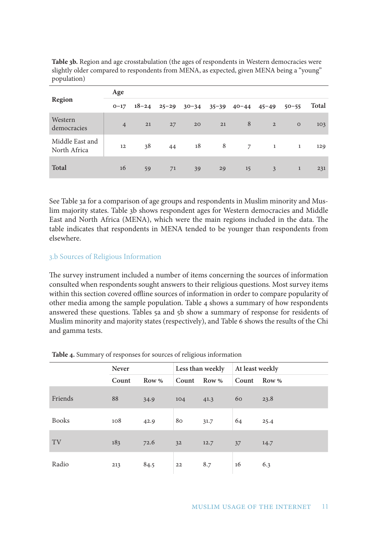| <b>Region</b>                   | Age            |           |           |           |    |                     |                |              |              |
|---------------------------------|----------------|-----------|-----------|-----------|----|---------------------|----------------|--------------|--------------|
|                                 | $O-17$         | $18 - 24$ | $25 - 29$ | $30 - 34$ |    | $35 - 39$ $40 - 44$ | $45 - 49$      | $50 - 55$    | <b>Total</b> |
| Western<br>democracies          | $\overline{4}$ | 21        | 27        | 20        | 21 | 8                   | $\overline{2}$ | $\circ$      | 103          |
| Middle East and<br>North Africa | 12             | 38        | 44        | 18        | 8  | $\overline{7}$      | $\mathbf{1}$   | 1            | 129          |
| <b>Total</b>                    | 16             | 59        | 71        | 39        | 29 | 15                  | 3              | $\mathbf{1}$ | 231          |

**Table 3b.** Region and age crosstabulation (the ages of respondents in Western democracies were slightly older compared to respondents from MENA, as expected, given MENA being a "young" population)

See Table 3a for a comparison of age groups and respondents in Muslim minority and Muslim majority states. Table 3b shows respondent ages for Western democracies and Middle East and North Africa (MENA), which were the main regions included in the data. The table indicates that respondents in MENA tended to be younger than respondents from elsewhere.

#### 3.b Sources of Religious Information

The survey instrument included a number of items concerning the sources of information consulted when respondents sought answers to their religious questions. Most survey items within this section covered offline sources of information in order to compare popularity of other media among the sample population. Table 4 shows a summary of how respondents answered these questions. Tables 5a and 5b show a summary of response for residents of Muslim minority and majority states (respectively), and Table 6 shows the results of the Chi and gamma tests.

|              | <b>Never</b> |       |                | Less than weekly | At least weekly |       |
|--------------|--------------|-------|----------------|------------------|-----------------|-------|
|              | Count        | Row % | Count Row %    |                  | Count           | Row % |
| Friends      | 88           | 34.9  | 104            | 41.3             | 60              | 23.8  |
| <b>Books</b> | 108          | 42.9  | 80             | 31.7             | 64              | 25.4  |
| TV           | 183          | 72.6  | 3 <sup>2</sup> | 12.7             | 37              | 14.7  |
| Radio        | 213          | 84.5  | 22             | 8.7              | 16              | 6.3   |

#### **Table 4.** Summary of responses for sources of religious information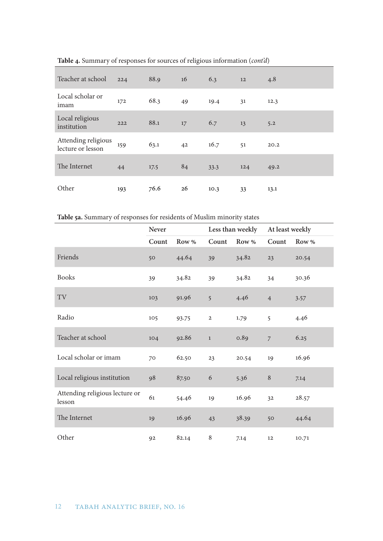| Teacher at school                        | 224 | 88.9 | 16 | 6.3  | 12  | 4.8  |
|------------------------------------------|-----|------|----|------|-----|------|
| Local scholar or<br>imam                 | 172 | 68.3 | 49 | 19.4 | 31  | 12.3 |
| Local religious<br>institution           | 222 | 88.1 | 17 | 6.7  | 13  | 5.2  |
| Attending religious<br>lecture or lesson | 159 | 63.1 | 42 | 16.7 | 51  | 20.2 |
| The Internet                             | 44  | 17.5 | 84 | 33.3 | 124 | 49.2 |
| Other                                    | 193 | 76.6 | 26 | 10.3 | 33  | 13.1 |

**Table 4.** Summary of responses for sources of religious information (*cont'd*)

**Table 5a.** Summary of responses for residents of Muslim minority states

|                                          | Never |       |                  | Less than weekly | At least weekly |       |
|------------------------------------------|-------|-------|------------------|------------------|-----------------|-------|
|                                          | Count | Row % | Count            | Row %            | Count           | Row % |
| Friends                                  | 50    | 44.64 | 39               | 34.82            | 23              | 20.54 |
| <b>Books</b>                             | 39    | 34.82 | 39               | 34.82            | 34              | 30.36 |
| TV                                       | 103   | 91.96 | 5                | 4.46             | $\overline{4}$  | 3.57  |
| Radio                                    | 105   | 93.75 | $\mathbf 2$      | 1.79             | 5               | 4.46  |
| Teacher at school                        | 104   | 92.86 | $\mathbf{1}$     | 0.89             | $\overline{7}$  | 6.25  |
| Local scholar or imam                    | 70    | 62.50 | 23               | 20.54            | 19              | 16.96 |
| Local religious institution              | 98    | 87.50 | $\boldsymbol{6}$ | 5.36             | $\, 8$          | 7.14  |
| Attending religious lecture or<br>lesson | 61    | 54.46 | 19               | 16.96            | 32              | 28.57 |
| The Internet                             | 19    | 16.96 | 43               | 38.39            | 50              | 44.64 |
| Other                                    | 92    | 82.14 | 8                | 7.14             | 12              | 10.71 |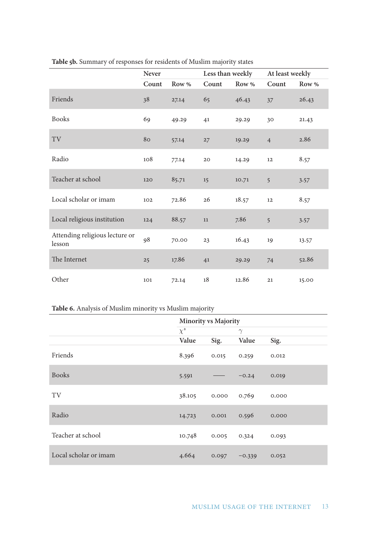|                                          | Never |       | Less than weekly |       | At least weekly |       |
|------------------------------------------|-------|-------|------------------|-------|-----------------|-------|
|                                          | Count | Row % | Count            | Row % | Count           | Row % |
| Friends                                  | 38    | 27.14 | 65               | 46.43 | 37              | 26.43 |
| <b>Books</b>                             | 69    | 49.29 | 41               | 29.29 | 30              | 21.43 |
| TV                                       | 80    | 57.14 | 27               | 19.29 | $\overline{4}$  | 2.86  |
| Radio                                    | 108   | 77.14 | $20\,$           | 14.29 | 12              | 8.57  |
| Teacher at school                        | 120   | 85.71 | 15               | 10.71 | 5               | 3.57  |
| Local scholar or imam                    | 102   | 72.86 | 26               | 18.57 | 12              | 8.57  |
| Local religious institution              | 124   | 88.57 | $11\,$           | 7.86  | 5               | 3.57  |
| Attending religious lecture or<br>lesson | 98    | 70.00 | 23               | 16.43 | 19              | 13.57 |
| The Internet                             | 25    | 17.86 | 41               | 29.29 | 74              | 52.86 |
| Other                                    | 101   | 72.14 | $18\,$           | 12.86 | 21              | 15.00 |

## **Table 5b.** Summary of responses for residents of Muslim majority states

## **Table 6.** Analysis of Muslim minority vs Muslim majority

|                       | <b>Minority vs Majority</b> |       |          |       |  |
|-----------------------|-----------------------------|-------|----------|-------|--|
|                       | $\chi^2$                    |       | $\gamma$ |       |  |
|                       | Value                       | Sig.  | Value    | Sig.  |  |
| Friends               | 8.396                       | 0.015 | 0.259    | 0.012 |  |
| <b>Books</b>          | 5.591                       |       | $-0.24$  | 0.019 |  |
| TV                    | 38.105                      | 0.000 | 0.769    | 0.000 |  |
| Radio                 | 14.723                      | 0.001 | 0.596    | 0.000 |  |
| Teacher at school     | 10.748                      | 0.005 | 0.324    | 0.093 |  |
| Local scholar or imam | 4.664                       | 0.097 | $-0.339$ | 0.052 |  |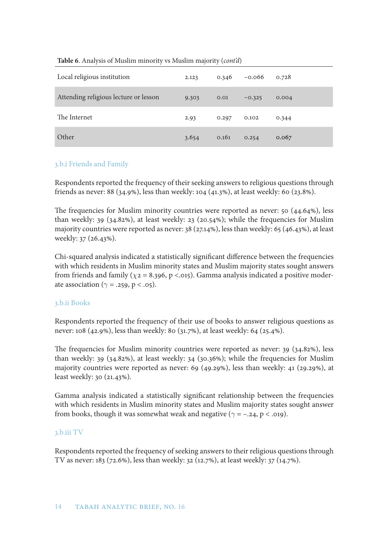| Local religious institution           | 2.123 | 0.346 | $-0.066$ | 0.728 |
|---------------------------------------|-------|-------|----------|-------|
| Attending religious lecture or lesson | 9.303 | 0.01  | $-0.325$ | 0.004 |
| The Internet                          | 2.93  | 0.297 | 0.102    | 0.344 |
| Other                                 | 3.654 | 0.161 | 0.254    | 0.067 |

#### **Table 6**. Analysis of Muslim minority vs Muslim majority (*cont'd*)

#### 3.b.i Friends and Family

Respondents reported the frequency of their seeking answers to religious questions through friends as never: 88 (34.9%), less than weekly: 104 (41.3%), at least weekly: 60 (23.8%).

The frequencies for Muslim minority countries were reported as never: 50 (44.64%), less than weekly: 39 (34.82%), at least weekly: 23 (20.54%); while the frequencies for Muslim majority countries were reported as never: 38 (27.14%), less than weekly: 65 (46.43%), at least weekly: 37 (26.43%).

Chi-squared analysis indicated a statistically significant difference between the frequencies with which residents in Muslim minority states and Muslim majority states sought answers from friends and family ( $\chi$ 2 = 8.396, p <.015). Gamma analysis indicated a positive moderate association ( $\gamma = .259$ ,  $p < .05$ ).

## 3.b.ii Books

Respondents reported the frequency of their use of books to answer religious questions as never: 108 (42.9%), less than weekly: 80 (31.7%), at least weekly: 64 (25.4%).

The frequencies for Muslim minority countries were reported as never: 39 (34.82%), less than weekly: 39 (34.82%), at least weekly: 34 (30.36%); while the frequencies for Muslim majority countries were reported as never: 69 (49.29%), less than weekly: 41 (29.29%), at least weekly: 30 (21.43%).

Gamma analysis indicated a statistically significant relationship between the frequencies with which residents in Muslim minority states and Muslim majority states sought answer from books, though it was somewhat weak and negative ( $\gamma = -0.24$ ,  $p < .019$ ).

#### 3.b.iii TV

Respondents reported the frequency of seeking answers to their religious questions through TV as never: 183 (72.6%), less than weekly: 32 (12.7%), at least weekly: 37 (14.7%).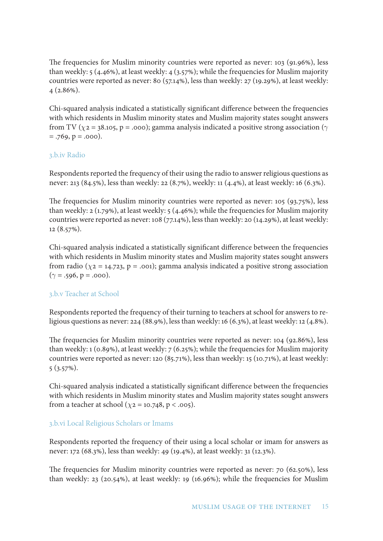The frequencies for Muslim minority countries were reported as never: 103 (91.96%), less than weekly: 5 (4.46%), at least weekly: 4 (3.57%); while the frequencies for Muslim majority countries were reported as never: 80 (57.14%), less than weekly: 27 (19.29%), at least weekly: 4 (2.86%).

Chi-squared analysis indicated a statistically significant difference between the frequencies with which residents in Muslim minority states and Muslim majority states sought answers from TV ( $\chi$ 2 = 38.105, p = .000); gamma analysis indicated a positive strong association ( $\gamma$  $= .769, p = .000$ .

#### 3.b.iv Radio

Respondents reported the frequency of their using the radio to answer religious questions as never: 213 (84.5%), less than weekly: 22 (8.7%), weekly: 11 (4.4%), at least weekly: 16 (6.3%).

The frequencies for Muslim minority countries were reported as never: 105 (93.75%), less than weekly: 2 (1.79%), at least weekly: 5 (4.46%); while the frequencies for Muslim majority countries were reported as never: 108 (77.14%), less than weekly: 20 (14.29%), at least weekly: 12 (8.57%).

Chi-squared analysis indicated a statistically significant difference between the frequencies with which residents in Muslim minority states and Muslim majority states sought answers from radio ( $\chi$ 2 = 14.723, p = .001); gamma analysis indicated a positive strong association  $(\gamma = .596, p = .000).$ 

## 3.b.v Teacher at School

Respondents reported the frequency of their turning to teachers at school for answers to religious questions as never: 224 (88.9%), less than weekly: 16 (6.3%), at least weekly: 12 (4.8%).

The frequencies for Muslim minority countries were reported as never: 104 (92.86%), less than weekly: 1 (0.89%), at least weekly: 7 (6.25%); while the frequencies for Muslim majority countries were reported as never: 120 (85.71%), less than weekly: 15 (10.71%), at least weekly: 5 (3.57%).

Chi-squared analysis indicated a statistically significant difference between the frequencies with which residents in Muslim minority states and Muslim majority states sought answers from a teacher at school ( $\chi$ 2 = 10.748, p < .005).

## 3.b.vi Local Religious Scholars or Imams

Respondents reported the frequency of their using a local scholar or imam for answers as never: 172 (68.3%), less than weekly: 49 (19.4%), at least weekly: 31 (12.3%).

The frequencies for Muslim minority countries were reported as never: 70 (62.50%), less than weekly: 23 (20.54%), at least weekly: 19 (16.96%); while the frequencies for Muslim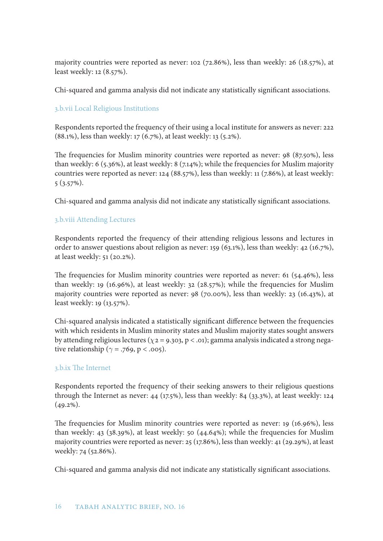majority countries were reported as never: 102 (72.86%), less than weekly: 26 (18.57%), at least weekly: 12 (8.57%).

Chi-squared and gamma analysis did not indicate any statistically significant associations.

## 3.b.vii Local Religious Institutions

Respondents reported the frequency of their using a local institute for answers as never: 222 (88.1%), less than weekly: 17 (6.7%), at least weekly: 13 (5.2%).

The frequencies for Muslim minority countries were reported as never: 98 (87.50%), less than weekly: 6 (5.36%), at least weekly: 8 (7.14%); while the frequencies for Muslim majority countries were reported as never: 124 (88.57%), less than weekly: 11 (7.86%), at least weekly: 5 (3.57%).

Chi-squared and gamma analysis did not indicate any statistically significant associations.

## 3.b.viii Attending Lectures

Respondents reported the frequency of their attending religious lessons and lectures in order to answer questions about religion as never: 159 (63.1%), less than weekly: 42 (16.7%), at least weekly: 51 (20.2%).

The frequencies for Muslim minority countries were reported as never: 61 (54.46%), less than weekly: 19 (16.96%), at least weekly: 32 (28.57%); while the frequencies for Muslim majority countries were reported as never: 98 (70.00%), less than weekly: 23 (16.43%), at least weekly: 19 (13.57%).

Chi-squared analysis indicated a statistically significant difference between the frequencies with which residents in Muslim minority states and Muslim majority states sought answers by attending religious lectures ( $\chi$ 2 = 9.303, p < .01); gamma analysis indicated a strong negative relationship ( $\gamma = .769$ ,  $p < .005$ ).

## 3.b.ix The Internet

Respondents reported the frequency of their seeking answers to their religious questions through the Internet as never: 44 (17.5%), less than weekly: 84 (33.3%), at least weekly: 124  $(49.2\%)$ .

The frequencies for Muslim minority countries were reported as never: 19 (16.96%), less than weekly: 43 (38.39%), at least weekly: 50 (44.64%); while the frequencies for Muslim majority countries were reported as never: 25 (17.86%), less than weekly: 41 (29.29%), at least weekly: 74 (52.86%).

Chi-squared and gamma analysis did not indicate any statistically significant associations.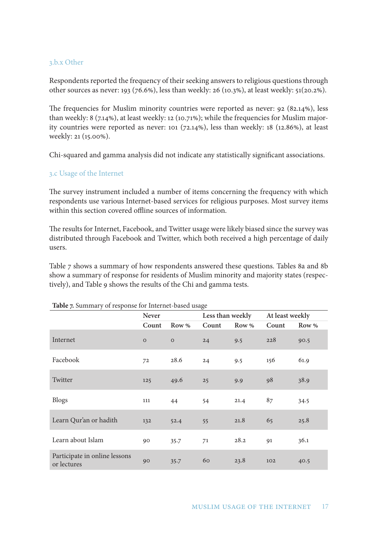#### 3.b.x Other

Respondents reported the frequency of their seeking answers to religious questions through other sources as never: 193 (76.6%), less than weekly: 26 (10.3%), at least weekly: 51(20.2%).

The frequencies for Muslim minority countries were reported as never: 92 (82.14%), less than weekly: 8 (7.14%), at least weekly: 12 (10.71%); while the frequencies for Muslim majority countries were reported as never: 101 (72.14%), less than weekly: 18 (12.86%), at least weekly: 21 (15.00%).

Chi-squared and gamma analysis did not indicate any statistically significant associations.

#### 3.c Usage of the Internet

The survey instrument included a number of items concerning the frequency with which respondents use various Internet-based services for religious purposes. Most survey items within this section covered offline sources of information.

The results for Internet, Facebook, and Twitter usage were likely biased since the survey was distributed through Facebook and Twitter, which both received a high percentage of daily users.

Table 7 shows a summary of how respondents answered these questions. Tables 8a and 8b show a summary of response for residents of Muslim minority and majority states (respectively), and Table 9 shows the results of the Chi and gamma tests.

| $\overline{\phantom{a}}$<br>л.               |                |              | U     |                  |                 |       |
|----------------------------------------------|----------------|--------------|-------|------------------|-----------------|-------|
|                                              | <b>Never</b>   |              |       | Less than weekly | At least weekly |       |
|                                              | Count          | Row %        | Count | Row %            | Count           | Row % |
| Internet                                     | $\overline{O}$ | $\mathbf{O}$ | 24    | 9.5              | 228             | 90.5  |
| Facebook                                     | 72             | 28.6         | 24    | 9.5              | 156             | 61.9  |
| Twitter                                      | 125            | 49.6         | 25    | 9.9              | 98              | 38.9  |
| <b>Blogs</b>                                 | 111            | 44           | 54    | 21.4             | 87              | 34.5  |
| Learn Qur'an or hadith                       | 132            | 52.4         | 55    | 21.8             | 65              | 25.8  |
| Learn about Islam                            | 90             | 35.7         | 71    | 28.2             | 91              | 36.1  |
| Participate in online lessons<br>or lectures | 90             | 35.7         | 60    | 23.8             | 102             | 40.5  |

#### **Table 7.** Summary of response for Internet-based usage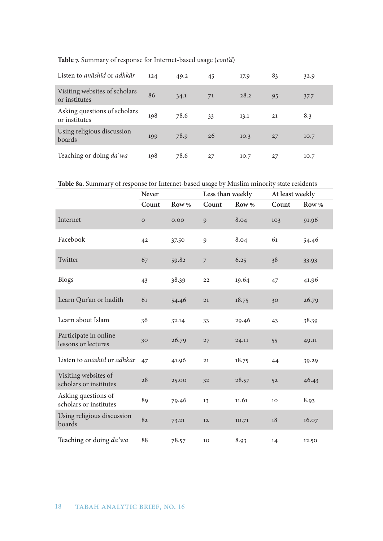| Listen to anāshīd or adhkār                    | 124 | 49.2 | 45 | 17.9 | 83 | 32.9 |
|------------------------------------------------|-----|------|----|------|----|------|
| Visiting websites of scholars<br>or institutes | 86  | 34.1 | 71 | 28.2 | 95 | 37.7 |
| Asking questions of scholars<br>or institutes  | 198 | 78.6 | 33 | 13.1 | 21 | 8.3  |
| Using religious discussion<br>boards           | 199 | 78.9 | 26 | 10.3 | 27 | 10.7 |
| Teaching or doing da'wa                        | 198 | 78.6 | 27 | 10.7 | 27 | 10.7 |

**Table 7.** Summary of response for Internet-based usage (*cont'd*)

**Table 8a.** Summary of response for Internet-based usage by Muslim minority state residents

|                                                | Never        |       | Less than weekly |       | At least weekly |       |
|------------------------------------------------|--------------|-------|------------------|-------|-----------------|-------|
|                                                | Count        | Row % | Count            | Row % | Count           | Row % |
| Internet                                       | $\mathbf{O}$ | 0.00  | 9                | 8.04  | 103             | 91.96 |
| Facebook                                       | 42           | 37.50 | 9                | 8.04  | 61              | 54.46 |
| Twitter                                        | 67           | 59.82 | $\overline{7}$   | 6.25  | 38              | 33.93 |
| <b>Blogs</b>                                   | 43           | 38.39 | 22               | 19.64 | 47              | 41.96 |
| Learn Qur'an or hadith                         | 61           | 54.46 | 21               | 18.75 | 30              | 26.79 |
| Learn about Islam                              | 36           | 32.14 | 33               | 29.46 | 43              | 38.39 |
| Participate in online<br>lessons or lectures   | 30           | 26.79 | 27               | 24.11 | 55              | 49.11 |
| Listen to anāshīd or adhkār                    | 47           | 41.96 | 21               | 18.75 | 44              | 39.29 |
| Visiting websites of<br>scholars or institutes | 28           | 25.00 | 32               | 28.57 | 52              | 46.43 |
| Asking questions of<br>scholars or institutes  | 89           | 79.46 | 13               | 11.61 | 10              | 8.93  |
| Using religious discussion<br>boards           | 82           | 73.21 | 12               | 10.71 | 18              | 16.07 |
| Teaching or doing da'wa                        | 88           | 78.57 | 10               | 8.93  | 14              | 12.50 |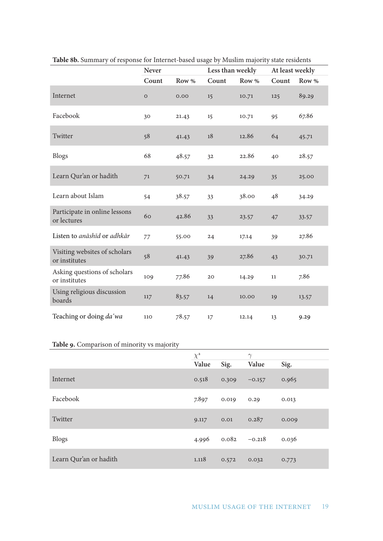|                                                | Never       |       | Less than weekly |       | At least weekly |       |
|------------------------------------------------|-------------|-------|------------------|-------|-----------------|-------|
|                                                | Count       | Row % | Count            | Row % | Count           | Row % |
| Internet                                       | $\mathbf O$ | 0.00  | 15               | 10.71 | 125             | 89.29 |
| Facebook                                       | 30          | 21.43 | 15               | 10.71 | 95              | 67.86 |
| Twitter                                        | 58          | 41.43 | 18               | 12.86 | 64              | 45.71 |
| <b>Blogs</b>                                   | 68          | 48.57 | 32               | 22.86 | 40              | 28.57 |
| Learn Qur'an or hadith                         | 71          | 50.71 | 34               | 24.29 | 35              | 25.00 |
| Learn about Islam                              | 54          | 38.57 | 33               | 38.00 | 48              | 34.29 |
| Participate in online lessons<br>or lectures   | 60          | 42.86 | 33               | 23.57 | 47              | 33.57 |
| Listen to anāshīd or adhkār                    | 77          | 55.00 | 24               | 17.14 | 39              | 27.86 |
| Visiting websites of scholars<br>or institutes | 58          | 41.43 | 39               | 27.86 | 43              | 30.71 |
| Asking questions of scholars<br>or institutes  | 109         | 77.86 | 20               | 14.29 | 11              | 7.86  |
| Using religious discussion<br>boards           | 117         | 83.57 | 14               | 10.00 | 19              | 13.57 |
| Teaching or doing da'wa                        | 110         | 78.57 | 17               | 12.14 | 13              | 9.29  |

**Table 8b.** Summary of response for Internet-based usage by Muslim majority state residents

## **Table 9.** Comparison of minority vs majority

|                        | $\chi^2$ |                 | $\gamma$ |       |
|------------------------|----------|-----------------|----------|-------|
|                        | Value    | Sig.            | Value    | Sig.  |
| Internet               | 0.518    | 0.309           | $-0.157$ | 0.965 |
| Facebook               | 7.897    | 0.019           | 0.29     | 0.013 |
| Twitter                | 9.117    | 0.01            | 0.287    | 0.009 |
| <b>Blogs</b>           | 4.996    | $0.082 - 0.218$ |          | 0.036 |
| Learn Qur'an or hadith | 1.118    | 0.572           | 0.032    | 0.773 |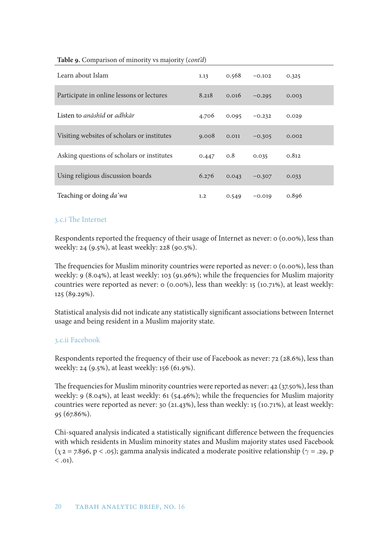| Learn about Islam                           | 1.13        | 0.568 | $-0.102$ | 0.325 |
|---------------------------------------------|-------------|-------|----------|-------|
| Participate in online lessons or lectures   | 8.218       | 0.016 | $-0.295$ | 0.003 |
| Listen to anāshīd or adhkār                 | 4.706       | 0.095 | $-0.232$ | 0.029 |
| Visiting websites of scholars or institutes | 9.008       | 0.011 | $-0.305$ | 0.002 |
| Asking questions of scholars or institutes  | $0.447$ 0.8 |       | 0.035    | 0.812 |
| Using religious discussion boards           | 6.276       | 0.043 | $-0.307$ | 0.033 |
| Teaching or doing da'wa                     | 1.2         | 0.549 | $-0.019$ | 0.896 |

#### **Table 9.** Comparison of minority vs majority (*cont'd*)

#### 3.c.i The Internet

Respondents reported the frequency of their usage of Internet as never: 0 (0.00%), less than weekly: 24 (9.5%), at least weekly: 228 (90.5%).

The frequencies for Muslim minority countries were reported as never: 0 (0.00%), less than weekly: 9 (8.04%), at least weekly: 103 (91.96%); while the frequencies for Muslim majority countries were reported as never: 0 (0.00%), less than weekly: 15 (10.71%), at least weekly: 125 (89.29%).

Statistical analysis did not indicate any statistically significant associations between Internet usage and being resident in a Muslim majority state.

#### 3.c.ii Facebook

Respondents reported the frequency of their use of Facebook as never: 72 (28.6%), less than weekly: 24 (9.5%), at least weekly: 156 (61.9%).

The frequencies for Muslim minority countries were reported as never: 42 (37.50%), less than weekly: 9 (8.04%), at least weekly: 61 (54.46%); while the frequencies for Muslim majority countries were reported as never: 30 (21.43%), less than weekly: 15 (10.71%), at least weekly: 95 (67.86%).

Chi-squared analysis indicated a statistically significant difference between the frequencies with which residents in Muslim minority states and Muslim majority states used Facebook ( $\chi$ 2 = 7.896, p < .05); gamma analysis indicated a moderate positive relationship ( $\gamma$  = .29, p  $\langle$  .01).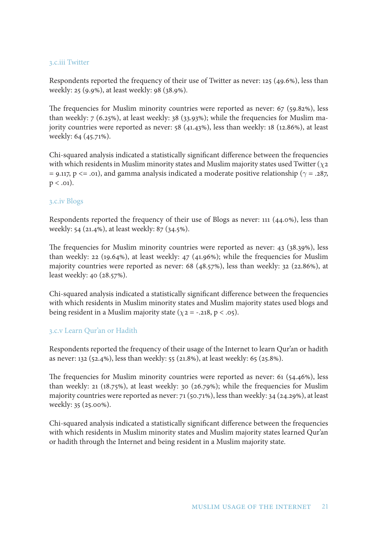#### 3.c.iii Twitter

Respondents reported the frequency of their use of Twitter as never: 125 (49.6%), less than weekly: 25 (9.9%), at least weekly: 98 (38.9%).

The frequencies for Muslim minority countries were reported as never: 67 (59.82%), less than weekly: 7 (6.25%), at least weekly: 38 (33.93%); while the frequencies for Muslim majority countries were reported as never: 58 (41.43%), less than weekly: 18 (12.86%), at least weekly: 64 (45.71%).

Chi-squared analysis indicated a statistically significant difference between the frequencies with which residents in Muslim minority states and Muslim majority states used Twitter ( $\chi$ 2 = 9.117, p <= .01), and gamma analysis indicated a moderate positive relationship ( $\gamma$  = .287,  $p < .01$ ).

#### 3.c.iv Blogs

Respondents reported the frequency of their use of Blogs as never: 111 (44.0%), less than weekly: 54 (21.4%), at least weekly: 87 (34.5%).

The frequencies for Muslim minority countries were reported as never: 43 (38.39%), less than weekly: 22 (19.64%), at least weekly: 47 (41.96%); while the frequencies for Muslim majority countries were reported as never: 68 (48.57%), less than weekly: 32 (22.86%), at least weekly: 40 (28.57%).

Chi-squared analysis indicated a statistically significant difference between the frequencies with which residents in Muslim minority states and Muslim majority states used blogs and being resident in a Muslim majority state ( $\chi$ 2 = -.218, p < .05).

#### 3.c.v Learn Qur'an or Hadith

Respondents reported the frequency of their usage of the Internet to learn Qur'an or hadith as never: 132 (52.4%), less than weekly: 55 (21.8%), at least weekly: 65 (25.8%).

The frequencies for Muslim minority countries were reported as never: 61 (54.46%), less than weekly: 21 (18.75%), at least weekly: 30 (26.79%); while the frequencies for Muslim majority countries were reported as never: 71 (50.71%), less than weekly: 34 (24.29%), at least weekly: 35 (25.00%).

Chi-squared analysis indicated a statistically significant difference between the frequencies with which residents in Muslim minority states and Muslim majority states learned Qur'an or hadith through the Internet and being resident in a Muslim majority state.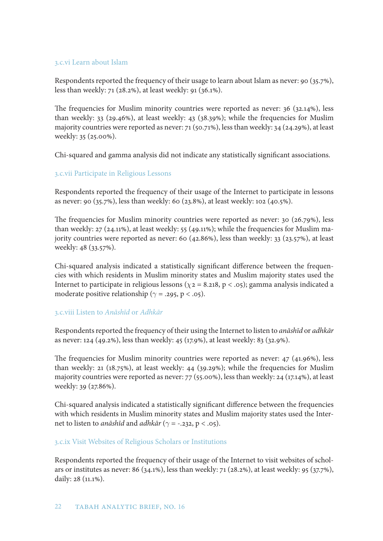#### 3.c.vi Learn about Islam

Respondents reported the frequency of their usage to learn about Islam as never: 90 (35.7%), less than weekly: 71 (28.2%), at least weekly: 91 (36.1%).

The frequencies for Muslim minority countries were reported as never: 36 (32.14%), less than weekly: 33 (29.46%), at least weekly: 43 (38.39%); while the frequencies for Muslim majority countries were reported as never: 71 (50.71%), less than weekly: 34 (24.29%), at least weekly: 35 (25.00%).

Chi-squared and gamma analysis did not indicate any statistically significant associations.

## 3.c.vii Participate in Religious Lessons

Respondents reported the frequency of their usage of the Internet to participate in lessons as never: 90 (35.7%), less than weekly: 60 (23.8%), at least weekly: 102 (40.5%).

The frequencies for Muslim minority countries were reported as never: 30 (26.79%), less than weekly: 27 (24.11%), at least weekly: 55 (49.11%); while the frequencies for Muslim majority countries were reported as never: 60 (42.86%), less than weekly: 33 (23.57%), at least weekly: 48 (33.57%).

Chi-squared analysis indicated a statistically significant difference between the frequencies with which residents in Muslim minority states and Muslim majority states used the Internet to participate in religious lessons ( $\chi$ 2 = 8.218, p < .05); gamma analysis indicated a moderate positive relationship ( $\gamma$  = .295, p < .05).

## 3.c.viii Listen to *Anāshīd* or *Adhkār*

Respondents reported the frequency of their using the Internet to listen to *anāshīd* or *adhkār* as never: 124 (49.2%), less than weekly: 45 (17.9%), at least weekly: 83 (32.9%).

The frequencies for Muslim minority countries were reported as never: 47 (41.96%), less than weekly: 21 (18.75%), at least weekly: 44 (39.29%); while the frequencies for Muslim majority countries were reported as never: 77 (55.00%), less than weekly: 24 (17.14%), at least weekly: 39 (27.86%).

Chi-squared analysis indicated a statistically significant difference between the frequencies with which residents in Muslim minority states and Muslim majority states used the Internet to listen to *anāshīd* and *adhkār* ( $\gamma$  = -.232, p < .05).

## 3.c.ix Visit Websites of Religious Scholars or Institutions

Respondents reported the frequency of their usage of the Internet to visit websites of scholars or institutes as never: 86 (34.1%), less than weekly: 71 (28.2%), at least weekly: 95 (37.7%), daily: 28 (11.1%).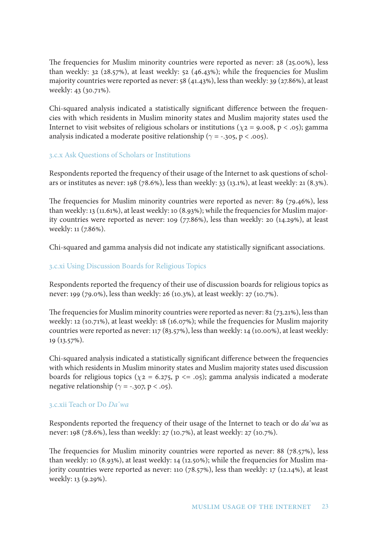The frequencies for Muslim minority countries were reported as never: 28 (25.00%), less than weekly: 32 (28.57%), at least weekly: 52 (46.43%); while the frequencies for Muslim majority countries were reported as never: 58 (41.43%), less than weekly: 39 (27.86%), at least weekly: 43 (30.71%).

Chi-squared analysis indicated a statistically significant difference between the frequencies with which residents in Muslim minority states and Muslim majority states used the Internet to visit websites of religious scholars or institutions ( $\chi$ 2 = 9.008, p < .05); gamma analysis indicated a moderate positive relationship ( $\gamma$  = -.305, p < .005).

#### 3.c.x Ask Questions of Scholars or Institutions

Respondents reported the frequency of their usage of the Internet to ask questions of scholars or institutes as never: 198 (78.6%), less than weekly: 33 (13.1%), at least weekly: 21 (8.3%).

The frequencies for Muslim minority countries were reported as never: 89 (79.46%), less than weekly: 13 (11.61%), at least weekly: 10 (8.93%); while the frequencies for Muslim majority countries were reported as never: 109 (77.86%), less than weekly: 20 (14.29%), at least weekly: 11 (7.86%).

Chi-squared and gamma analysis did not indicate any statistically significant associations.

#### 3.c.xi Using Discussion Boards for Religious Topics

Respondents reported the frequency of their use of discussion boards for religious topics as never: 199 (79.0%), less than weekly: 26 (10.3%), at least weekly: 27 (10.7%).

The frequencies for Muslim minority countries were reported as never: 82 (73.21%), less than weekly: 12 (10.71%), at least weekly: 18 (16.07%); while the frequencies for Muslim majority countries were reported as never: 117 (83.57%), less than weekly: 14 (10.00%), at least weekly: 19 (13.57%).

Chi-squared analysis indicated a statistically significant difference between the frequencies with which residents in Muslim minority states and Muslim majority states used discussion boards for religious topics ( $\chi$ 2 = 6.275, p <= .05); gamma analysis indicated a moderate negative relationship ( $\gamma$  = -.307, p < .05).

#### 3.c.xii Teach or Do *Da*ʿ*wa*

Respondents reported the frequency of their usage of the Internet to teach or do *da*ʿ*wa* as never: 198 (78.6%), less than weekly: 27 (10.7%), at least weekly: 27 (10.7%).

The frequencies for Muslim minority countries were reported as never: 88 (78.57%), less than weekly: 10 (8.93%), at least weekly: 14 (12.50%); while the frequencies for Muslim majority countries were reported as never: 110 (78.57%), less than weekly: 17 (12.14%), at least weekly: 13 (9.29%).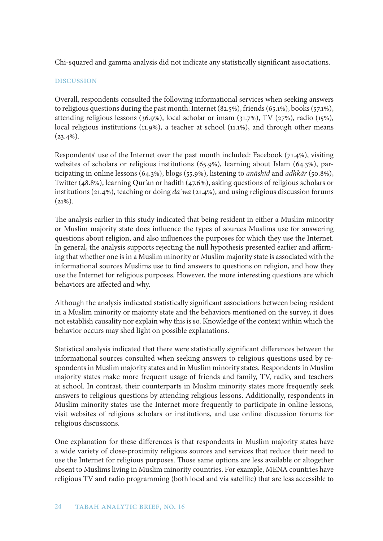Chi-squared and gamma analysis did not indicate any statistically significant associations.

#### **DISCUSSION**

Overall, respondents consulted the following informational services when seeking answers to religious questions during the past month: Internet (82.5%), friends (65.1%), books (57.1%), attending religious lessons (36.9%), local scholar or imam (31.7%), TV (27%), radio (15%), local religious institutions (11.9%), a teacher at school (11.1%), and through other means  $(23.4\%).$ 

Respondents' use of the Internet over the past month included: Facebook (71.4%), visiting websites of scholars or religious institutions (65.9%), learning about Islam (64.3%), participating in online lessons (64.3%), blogs (55.9%), listening to *anāshīd* and *adhkār* (50.8%), Twitter (48.8%), learning Qur'an or hadith (47.6%), asking questions of religious scholars or institutions (21.4%), teaching or doing *da*ʿ*wa* (21.4%), and using religious discussion forums  $(21\%)$ .

The analysis earlier in this study indicated that being resident in either a Muslim minority or Muslim majority state does influence the types of sources Muslims use for answering questions about religion, and also influences the purposes for which they use the Internet. In general, the analysis supports rejecting the null hypothesis presented earlier and affirming that whether one is in a Muslim minority or Muslim majority state is associated with the informational sources Muslims use to find answers to questions on religion, and how they use the Internet for religious purposes. However, the more interesting questions are which behaviors are affected and why.

Although the analysis indicated statistically significant associations between being resident in a Muslim minority or majority state and the behaviors mentioned on the survey, it does not establish causality nor explain why this is so. Knowledge of the context within which the behavior occurs may shed light on possible explanations.

Statistical analysis indicated that there were statistically significant differences between the informational sources consulted when seeking answers to religious questions used by respondents in Muslim majority states and in Muslim minority states. Respondents in Muslim majority states make more frequent usage of friends and family, TV, radio, and teachers at school. In contrast, their counterparts in Muslim minority states more frequently seek answers to religious questions by attending religious lessons. Additionally, respondents in Muslim minority states use the Internet more frequently to participate in online lessons, visit websites of religious scholars or institutions, and use online discussion forums for religious discussions.

One explanation for these differences is that respondents in Muslim majority states have a wide variety of close-proximity religious sources and services that reduce their need to use the Internet for religious purposes. Those same options are less available or altogether absent to Muslims living in Muslim minority countries. For example, MENA countries have religious TV and radio programming (both local and via satellite) that are less accessible to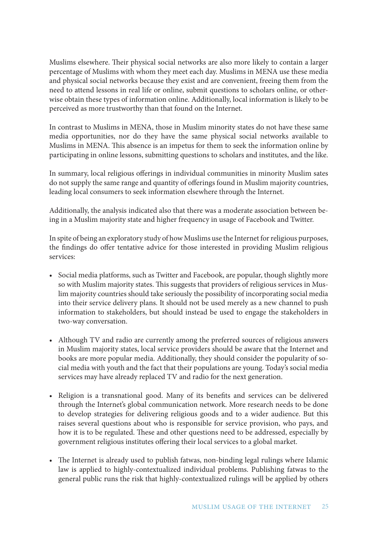Muslims elsewhere. Their physical social networks are also more likely to contain a larger percentage of Muslims with whom they meet each day. Muslims in MENA use these media and physical social networks because they exist and are convenient, freeing them from the need to attend lessons in real life or online, submit questions to scholars online, or otherwise obtain these types of information online. Additionally, local information is likely to be perceived as more trustworthy than that found on the Internet.

In contrast to Muslims in MENA, those in Muslim minority states do not have these same media opportunities, nor do they have the same physical social networks available to Muslims in MENA. This absence is an impetus for them to seek the information online by participating in online lessons, submitting questions to scholars and institutes, and the like.

In summary, local religious offerings in individual communities in minority Muslim sates do not supply the same range and quantity of offerings found in Muslim majority countries, leading local consumers to seek information elsewhere through the Internet.

Additionally, the analysis indicated also that there was a moderate association between being in a Muslim majority state and higher frequency in usage of Facebook and Twitter.

In spite of being an exploratory study of how Muslims use the Internet for religious purposes, the findings do offer tentative advice for those interested in providing Muslim religious services:

- Social media platforms, such as Twitter and Facebook, are popular, though slightly more so with Muslim majority states. This suggests that providers of religious services in Muslim majority countries should take seriously the possibility of incorporating social media into their service delivery plans. It should not be used merely as a new channel to push information to stakeholders, but should instead be used to engage the stakeholders in two-way conversation.
- Although TV and radio are currently among the preferred sources of religious answers in Muslim majority states, local service providers should be aware that the Internet and books are more popular media. Additionally, they should consider the popularity of social media with youth and the fact that their populations are young. Today's social media services may have already replaced TV and radio for the next generation.
- Religion is a transnational good. Many of its benefits and services can be delivered through the Internet's global communication network. More research needs to be done to develop strategies for delivering religious goods and to a wider audience. But this raises several questions about who is responsible for service provision, who pays, and how it is to be regulated. These and other questions need to be addressed, especially by government religious institutes offering their local services to a global market.
- The Internet is already used to publish fatwas, non-binding legal rulings where Islamic law is applied to highly-contextualized individual problems. Publishing fatwas to the general public runs the risk that highly-contextualized rulings will be applied by others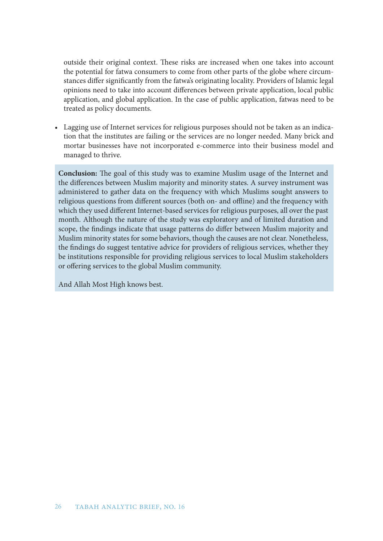outside their original context. These risks are increased when one takes into account the potential for fatwa consumers to come from other parts of the globe where circumstances differ significantly from the fatwa's originating locality. Providers of Islamic legal opinions need to take into account differences between private application, local public application, and global application. In the case of public application, fatwas need to be treated as policy documents.

• Lagging use of Internet services for religious purposes should not be taken as an indication that the institutes are failing or the services are no longer needed. Many brick and mortar businesses have not incorporated e-commerce into their business model and managed to thrive.

**Conclusion:** The goal of this study was to examine Muslim usage of the Internet and the differences between Muslim majority and minority states. A survey instrument was administered to gather data on the frequency with which Muslims sought answers to religious questions from different sources (both on- and offline) and the frequency with which they used different Internet-based services for religious purposes, all over the past month. Although the nature of the study was exploratory and of limited duration and scope, the findings indicate that usage patterns do differ between Muslim majority and Muslim minority states for some behaviors, though the causes are not clear. Nonetheless, the findings do suggest tentative advice for providers of religious services, whether they be institutions responsible for providing religious services to local Muslim stakeholders or offering services to the global Muslim community.

And Allah Most High knows best.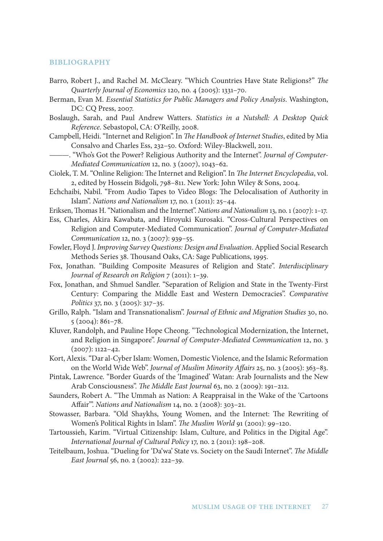#### **BIBLIOGRAPHY**

- Barro, Robert J., and Rachel M. McCleary. "Which Countries Have State Religions?" *The Quarterly Journal of Economics* 120, no. 4 (2005): 1331–70.
- Berman, Evan M. *Essential Statistics for Public Managers and Policy Analysis*. Washington, DC: CQ Press, 2007.

Boslaugh, Sarah, and Paul Andrew Watters. *Statistics in a Nutshell: A Desktop Quick Reference*. Sebastopol, CA: O'Reilly, 2008.

- Campbell, Heidi. "Internet and Religion". In *The Handbook of Internet Studies*, edited by Mia Consalvo and Charles Ess, 232–50. Oxford: Wiley-Blackwell, 2011.
- ———. "Who's Got the Power? Religious Authority and the Internet". *Journal of Computer-Mediated Communication* 12, no. 3 (2007), 1043–62.
- Ciolek, T. M. "Online Religion: The Internet and Religion". In *The Internet Encyclopedia*, vol. 2, edited by Hossein Bidgoli, 798–811. New York: John Wiley & Sons, 2004.
- Echchaibi, Nabil. "From Audio Tapes to Video Blogs: The Delocalisation of Authority in Islam". *Nations and Nationalism* 17, no. 1 (2011): 25–44.
- Eriksen, Thomas H. "Nationalism and the Internet". *Nations and Nationalism* 13, no. 1 (2007): 1–17.
- Ess, Charles, Akira Kawabata, and Hiroyuki Kurosaki. "Cross-Cultural Perspectives on Religion and Computer-Mediated Communication". *Journal of Computer-Mediated Communication* 12, no. 3 (2007): 939–55.
- Fowler, Floyd J. *Improving Survey Questions: Design and Evaluation*. Applied Social Research Methods Series 38. Thousand Oaks, CA: Sage Publications, 1995.
- Fox, Jonathan. "Building Composite Measures of Religion and State". *Interdisciplinary Journal of Research on Religion* 7 (2011): 1–39.
- Fox, Jonathan, and Shmuel Sandler. "Separation of Religion and State in the Twenty-First Century: Comparing the Middle East and Western Democracies". *Comparative Politics* 37, no. 3 (2005): 317–35.
- Grillo, Ralph. "Islam and Transnationalism". *Journal of Ethnic and Migration Studies* 30, no. 5 (2004): 861–78.
- Kluver, Randolph, and Pauline Hope Cheong. "Technological Modernization, the Internet, and Religion in Singapore". *Journal of Computer-Mediated Communication* 12, no. 3  $(2007): 1122 - 42.$
- Kort, Alexis. "Dar al-Cyber Islam: Women, Domestic Violence, and the Islamic Reformation on the World Wide Web". *Journal of Muslim Minority Affairs* 25, no. 3 (2005): 363–83.
- Pintak, Lawrence. "Border Guards of the 'Imagined' Watan: Arab Journalists and the New Arab Consciousness". *The Middle East Journal* 63, no. 2 (2009): 191–212.
- Saunders, Robert A. "The Ummah as Nation: A Reappraisal in the Wake of the 'Cartoons Affair'". *Nations and Nationalism* 14, no. 2 (2008): 303–21.
- Stowasser, Barbara. "Old Shaykhs, Young Women, and the Internet: The Rewriting of Women's Political Rights in Islam". *The Muslim World* 91 (2001): 99–120.
- Tartoussieh, Karim. "Virtual Citizenship: Islam, Culture, and Politics in the Digital Age". *International Journal of Cultural Policy* 17, no. 2 (2011): 198–208.
- Teitelbaum, Joshua. "Dueling for 'Da'wa' State vs. Society on the Saudi Internet". *The Middle East Journal* 56, no. 2 (2002): 222–39.